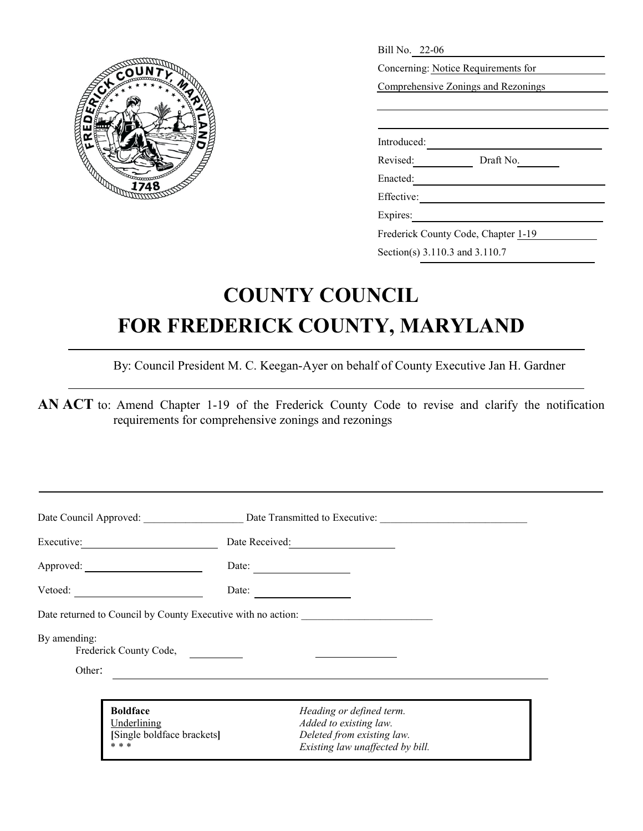

| Bill No. 22-06                      |  |  |  |
|-------------------------------------|--|--|--|
| Concerning: Notice Requirements for |  |  |  |
| Comprehensive Zonings and Rezonings |  |  |  |
|                                     |  |  |  |
|                                     |  |  |  |
| Introduced:                         |  |  |  |
| Revised:<br>Draft No.               |  |  |  |
| Enacted:                            |  |  |  |
| Effective:                          |  |  |  |
| Expires:                            |  |  |  |
| Frederick County Code, Chapter 1-19 |  |  |  |

Section(s) 3.110.3 and 3.110.7

## **COUNTY COUNCIL FOR FREDERICK COUNTY, MARYLAND**

By: Council President M. C. Keegan-Ayer on behalf of County Executive Jan H. Gardner

**AN ACT** to: Amend Chapter 1-19 of the Frederick County Code to revise and clarify the notification requirements for comprehensive zonings and rezonings

|              |                                                                       | Date Council Approved: Date Transmitted to Executive:                                                                |  |
|--------------|-----------------------------------------------------------------------|----------------------------------------------------------------------------------------------------------------------|--|
| Executive:   |                                                                       | Date Received:                                                                                                       |  |
|              |                                                                       | Date:<br>the control of the control of the control of                                                                |  |
| Vector:      |                                                                       | Date:<br>the contract of the contract of                                                                             |  |
|              |                                                                       | Date returned to Council by County Executive with no action:                                                         |  |
| By amending: | Frederick County Code,                                                |                                                                                                                      |  |
| Other:       |                                                                       |                                                                                                                      |  |
|              | <b>Boldface</b><br>Underlining<br>[Single boldface brackets]<br>* * * | Heading or defined term.<br>Added to existing law.<br>Deleted from existing law.<br>Existing law unaffected by bill. |  |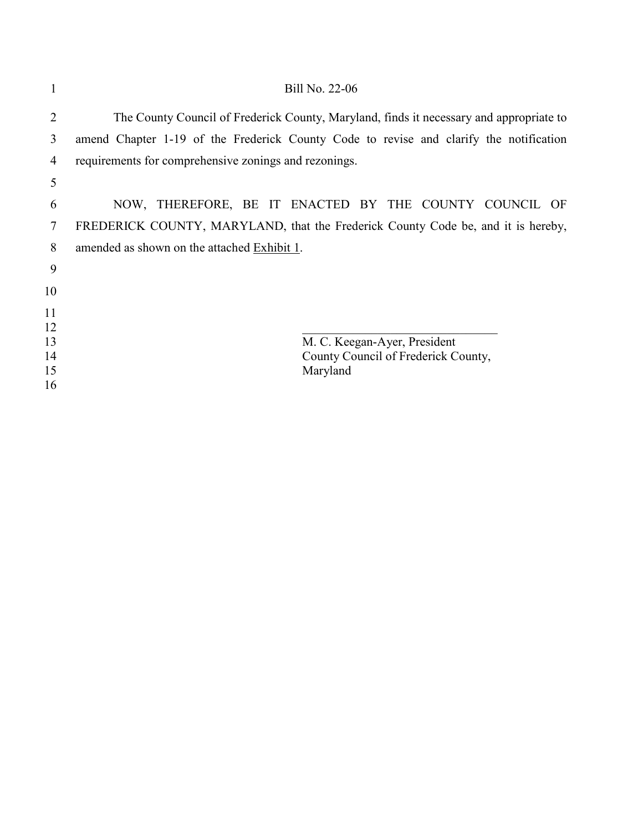|                | Bill No. 22-06                                                                          |
|----------------|-----------------------------------------------------------------------------------------|
| $\overline{2}$ | The County Council of Frederick County, Maryland, finds it necessary and appropriate to |
| 3              | amend Chapter 1-19 of the Frederick County Code to revise and clarify the notification  |
| 4              | requirements for comprehensive zonings and rezonings.                                   |
| 5              |                                                                                         |
| 6              | NOW, THEREFORE, BE IT ENACTED BY THE COUNTY COUNCIL OF                                  |
| 7              | FREDERICK COUNTY, MARYLAND, that the Frederick County Code be, and it is hereby,        |
| 8              | amended as shown on the attached Exhibit 1.                                             |
| 9              |                                                                                         |
| 10             |                                                                                         |
| 11             |                                                                                         |
| 12             |                                                                                         |
| 13             | M. C. Keegan-Ayer, President                                                            |
| 14             | County Council of Frederick County,                                                     |
| 15             | Maryland                                                                                |
| 16             |                                                                                         |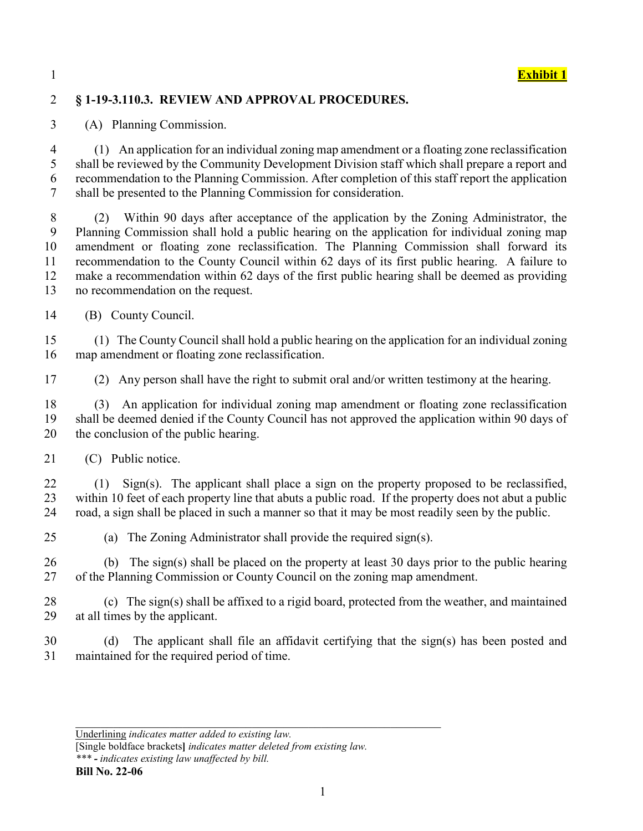

## 2 **§ 1-19-3.110.3. REVIEW AND APPROVAL PROCEDURES.**

3 (A) Planning Commission.

4 (1) An application for an individual zoning map amendment or a floating zone reclassification shall be reviewed by the Community Development Division staff which shall prepare a report and recommendation to the Planning Commission. After completion of this staff report the application shall be presented to the Planning Commission for consideration.

8 (2) Within 90 days after acceptance of the application by the Zoning Administrator, the Planning Commission shall hold a public hearing on the application for individual zoning map amendment or floating zone reclassification. The Planning Commission shall forward its recommendation to the County Council within 62 days of its first public hearing. A failure to make a recommendation within 62 days of the first public hearing shall be deemed as providing no recommendation on the request.

14 (B) County Council.

15 (1) The County Council shall hold a public hearing on the application for an individual zoning 16 map amendment or floating zone reclassification.

17 (2) Any person shall have the right to submit oral and/or written testimony at the hearing.

18 (3) An application for individual zoning map amendment or floating zone reclassification 19 shall be deemed denied if the County Council has not approved the application within 90 days of 20 the conclusion of the public hearing.

21 (C) Public notice.

22 (1) Sign(s). The applicant shall place a sign on the property proposed to be reclassified, 23 within 10 feet of each property line that abuts a public road. If the property does not abut a public 24 road, a sign shall be placed in such a manner so that it may be most readily seen by the public.

25 (a) The Zoning Administrator shall provide the required sign(s).

26 (b) The sign(s) shall be placed on the property at least 30 days prior to the public hearing 27 of the Planning Commission or County Council on the zoning map amendment.

28 (c) The sign(s) shall be affixed to a rigid board, protected from the weather, and maintained 29 at all times by the applicant.

30 (d) The applicant shall file an affidavit certifying that the sign(s) has been posted and 31 maintained for the required period of time.

Underlining *indicates matter added to existing law.*

[Single boldface brackets**]** *indicates matter deleted from existing law.*

*<sup>\*\*\*</sup> - indicates existing law unaffected by bill.*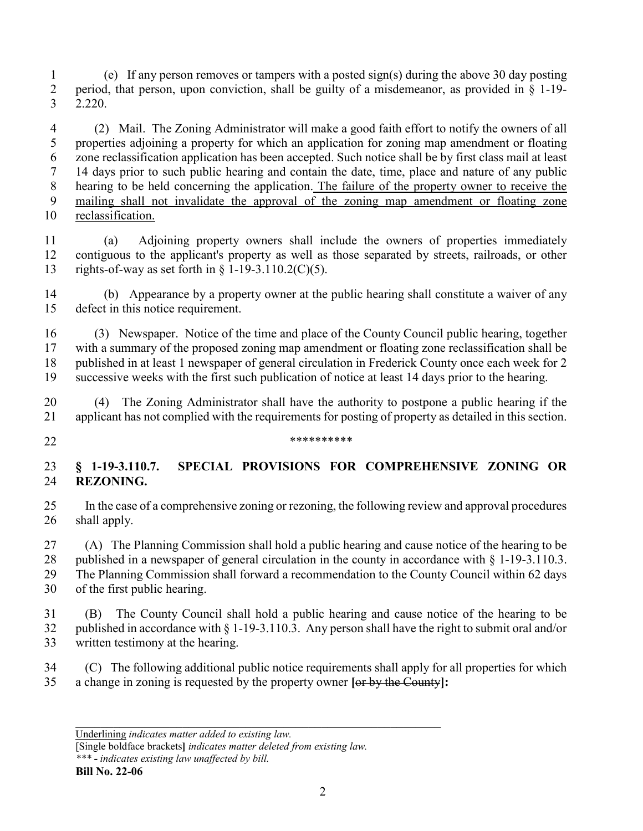1 (e) If any person removes or tampers with a posted sign(s) during the above 30 day posting period, that person, upon conviction, shall be guilty of a misdemeanor, as provided in § 1-19- 2.220.

4 (2) Mail. The Zoning Administrator will make a good faith effort to notify the owners of all properties adjoining a property for which an application for zoning map amendment or floating zone reclassification application has been accepted. Such notice shall be by first class mail at least 14 days prior to such public hearing and contain the date, time, place and nature of any public hearing to be held concerning the application. The failure of the property owner to receive the mailing shall not invalidate the approval of the zoning map amendment or floating zone reclassification.

11 (a) Adjoining property owners shall include the owners of properties immediately contiguous to the applicant's property as well as those separated by streets, railroads, or other rights-of-way as set forth in § 1-19-3.110.2(C)(5).

14 (b) Appearance by a property owner at the public hearing shall constitute a waiver of any defect in this notice requirement.

16 (3) Newspaper. Notice of the time and place of the County Council public hearing, together with a summary of the proposed zoning map amendment or floating zone reclassification shall be published in at least 1 newspaper of general circulation in Frederick County once each week for 2 successive weeks with the first such publication of notice at least 14 days prior to the hearing.

20 (4) The Zoning Administrator shall have the authority to postpone a public hearing if the applicant has not complied with the requirements for posting of property as detailed in this section.

 $****************$ 

## **§ 1-19-3.110.7. SPECIAL PROVISIONS FOR COMPREHENSIVE ZONING OR REZONING.**

25 In the case of a comprehensive zoning or rezoning, the following review and approval procedures shall apply.

27 (A) The Planning Commission shall hold a public hearing and cause notice of the hearing to be published in a newspaper of general circulation in the county in accordance with § 1-19-3.110.3. The Planning Commission shall forward a recommendation to the County Council within 62 days of the first public hearing.

31 (B) The County Council shall hold a public hearing and cause notice of the hearing to be published in accordance with § 1-19-3.110.3. Any person shall have the right to submit oral and/or written testimony at the hearing.

34 (C) The following additional public notice requirements shall apply for all properties for which a change in zoning is requested by the property owner **[**or by the County**]:**

[Single boldface brackets**]** *indicates matter deleted from existing law.*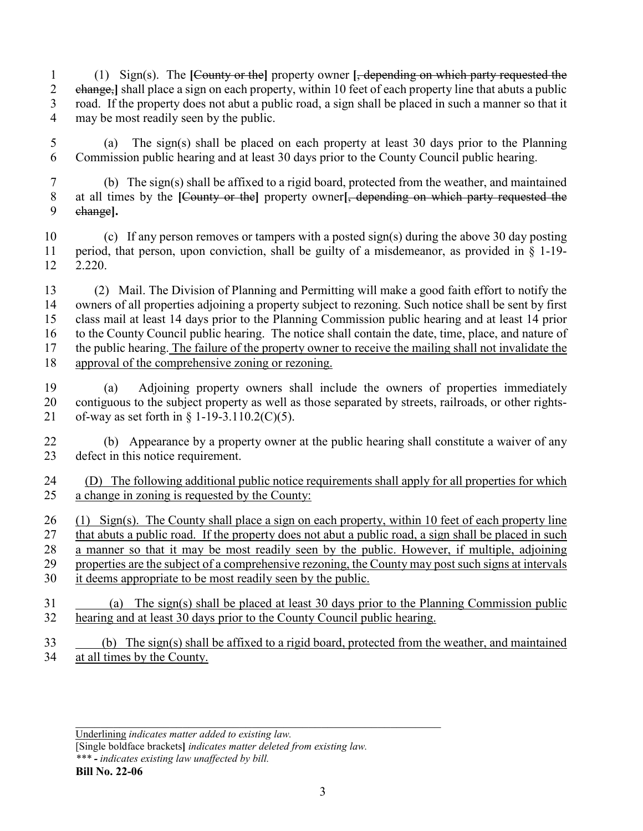- 1 (1) Sign(s). The **[**County or the**]** property owner **[**, depending on which party requested the change,**]** shall place a sign on each property, within 10 feet of each property line that abuts a public road. If the property does not abut a public road, a sign shall be placed in such a manner so that it may be most readily seen by the public.
- 5 (a) The sign(s) shall be placed on each property at least 30 days prior to the Planning Commission public hearing and at least 30 days prior to the County Council public hearing.
- 7 (b) The sign(s) shall be affixed to a rigid board, protected from the weather, and maintained at all times by the **[**County or the**]** property owner**[**, depending on which party requested the change**].**
- 10 (c) If any person removes or tampers with a posted sign(s) during the above 30 day posting period, that person, upon conviction, shall be guilty of a misdemeanor, as provided in § 1-19- 2.220.
- 13 (2) Mail. The Division of Planning and Permitting will make a good faith effort to notify the owners of all properties adjoining a property subject to rezoning. Such notice shall be sent by first class mail at least 14 days prior to the Planning Commission public hearing and at least 14 prior to the County Council public hearing. The notice shall contain the date, time, place, and nature of the public hearing. The failure of the property owner to receive the mailing shall not invalidate the approval of the comprehensive zoning or rezoning.
- 19 (a) Adjoining property owners shall include the owners of properties immediately contiguous to the subject property as well as those separated by streets, railroads, or other rights-21 of-way as set forth in  $\S 1-19-3.110.2(C)(5)$ .
- 22 (b) Appearance by a property owner at the public hearing shall constitute a waiver of any defect in this notice requirement.
- (D) The following additional public notice requirements shall apply for all properties for which a change in zoning is requested by the County:
- 26 (1) Sign(s). The County shall place a sign on each property, within 10 feet of each property line that abuts a public road. If the property does not abut a public road, a sign shall be placed in such a manner so that it may be most readily seen by the public. However, if multiple, adjoining properties are the subject of a comprehensive rezoning, the County may post such signs at intervals it deems appropriate to be most readily seen by the public.
- 31 (a) The sign(s) shall be placed at least 30 days prior to the Planning Commission public hearing and at least 30 days prior to the County Council public hearing.
- 33 (b) The sign(s) shall be affixed to a rigid board, protected from the weather, and maintained at all times by the County.

Underlining *indicates matter added to existing law.*

[Single boldface brackets**]** *indicates matter deleted from existing law. \*\*\* - indicates existing law unaffected by bill.*